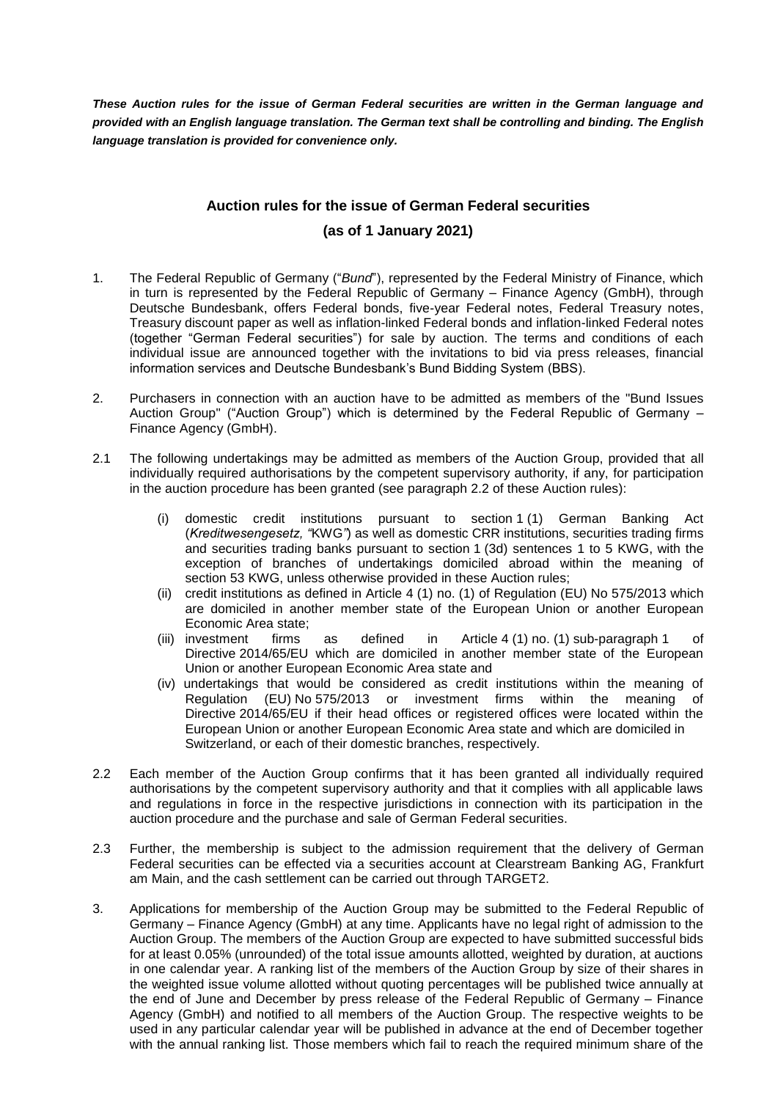*These Auction rules for the issue of German Federal securities are written in the German language and provided with an English language translation. The German text shall be controlling and binding. The English language translation is provided for convenience only.*

## **Auction rules for the issue of German Federal securities (as of 1 January 2021)**

- 1. The Federal Republic of Germany ("*Bund*"), represented by the Federal Ministry of Finance, which in turn is represented by the Federal Republic of Germany – Finance Agency (GmbH), through Deutsche Bundesbank, offers Federal bonds, five-year Federal notes, Federal Treasury notes, Treasury discount paper as well as inflation-linked Federal bonds and inflation-linked Federal notes (together "German Federal securities") for sale by auction. The terms and conditions of each individual issue are announced together with the invitations to bid via press releases, financial information services and Deutsche Bundesbank's Bund Bidding System (BBS).
- 2. Purchasers in connection with an auction have to be admitted as members of the "Bund Issues Auction Group" ("Auction Group") which is determined by the Federal Republic of Germany – Finance Agency (GmbH).
- 2.1 The following undertakings may be admitted as members of the Auction Group, provided that all individually required authorisations by the competent supervisory authority, if any, for participation in the auction procedure has been granted (see paragraph 2.2 of these Auction rules):
	- (i) domestic credit institutions pursuant to section 1 (1) German Banking Act (*Kreditwesengesetz, "*KWG*"*) as well as domestic CRR institutions, securities trading firms and securities trading banks pursuant to section 1 (3d) sentences 1 to 5 KWG, with the exception of branches of undertakings domiciled abroad within the meaning of section 53 KWG, unless otherwise provided in these Auction rules;
	- (ii) credit institutions as defined in Article 4 (1) no. (1) of Regulation (EU) No 575/2013 which are domiciled in another member state of the European Union or another European Economic Area state;
	- (iii) investment firms as defined in Article 4 (1) no. (1) sub-paragraph 1 of Directive 2014/65/EU which are domiciled in another member state of the European Union or another European Economic Area state and
	- (iv) undertakings that would be considered as credit institutions within the meaning of Regulation (EU) No 575/2013 or investment firms within the meaning of Directive 2014/65/EU if their head offices or registered offices were located within the European Union or another European Economic Area state and which are domiciled in Switzerland, or each of their domestic branches, respectively.
- 2.2 Each member of the Auction Group confirms that it has been granted all individually required authorisations by the competent supervisory authority and that it complies with all applicable laws and regulations in force in the respective jurisdictions in connection with its participation in the auction procedure and the purchase and sale of German Federal securities.
- 2.3 Further, the membership is subject to the admission requirement that the delivery of German Federal securities can be effected via a securities account at Clearstream Banking AG, Frankfurt am Main, and the cash settlement can be carried out through TARGET2.
- 3. Applications for membership of the Auction Group may be submitted to the Federal Republic of Germany – Finance Agency (GmbH) at any time. Applicants have no legal right of admission to the Auction Group. The members of the Auction Group are expected to have submitted successful bids for at least 0.05% (unrounded) of the total issue amounts allotted, weighted by duration, at auctions in one calendar year. A ranking list of the members of the Auction Group by size of their shares in the weighted issue volume allotted without quoting percentages will be published twice annually at the end of June and December by press release of the Federal Republic of Germany – Finance Agency (GmbH) and notified to all members of the Auction Group. The respective weights to be used in any particular calendar year will be published in advance at the end of December together with the annual ranking list. Those members which fail to reach the required minimum share of the